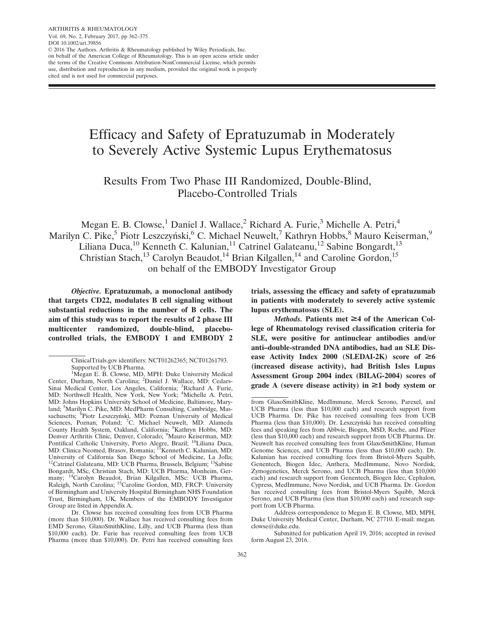ARTHRITIS & RHEUMATOLOGY Vol. 69, No. 2, February 2017, pp 362–375 DOI 10.1002/art.39856 © 2016 The Authors. Arthritis & Rheumatology published by Wiley Periodicals, Inc. on behalf of the American College of Rheumatology. This is an open access article under the terms of the [Creative Commons Attribution-NonCommercial](http://creativecommons.org/licenses/by-nc/3.0/) License, which permits use, distribution and reproduction in any medium, provided the original work is properly cited and is not used for commercial purposes.

# Efficacy and Safety of Epratuzumab in Moderately to Severely Active Systemic Lupus Erythematosus

## Results From Two Phase III Randomized, Double-Blind, Placebo-Controlled Trials

Megan E. B. Clowse, $^1$  Daniel J. Wallace, $^2$  Richard A. Furie, $^3$  Michelle A. Petri, $^4$ Marilyn C. Pike,<sup>5</sup> Piotr Leszczyński,<sup>6</sup> C. Michael Neuwelt,<sup>7</sup> Kathryn Hobbs,<sup>8</sup> Mauro Keiserman,<sup>9</sup> Liliana Duca,<sup>10</sup> Kenneth C. Kalunian,<sup>11</sup> Catrinel Galateanu,<sup>12</sup> Sabine Bongardt,<sup>13</sup> Christian Stach,<sup>13</sup> Carolyn Beaudot,<sup>14</sup> Brian Kilgallen,<sup>14</sup> and Caroline Gordon,<sup>15</sup> on behalf of the EMBODY Investigator Group

Objective. Epratuzumab, a monoclonal antibody that targets CD22, modulates B cell signaling without substantial reductions in the number of B cells. The aim of this study was to report the results of 2 phase III multicenter randomized, double-blind, placebocontrolled trials, the EMBODY 1 and EMBODY 2 trials, assessing the efficacy and safety of epratuzumab in patients with moderately to severely active systemic lupus erythematosus (SLE).

Methods. Patients met  $\geq$ 4 of the American College of Rheumatology revised classification criteria for SLE, were positive for antinuclear antibodies and/or anti–double-stranded DNA antibodies, had an SLE Disease Activity Index 2000 (SLEDAI-2K) score of  $\geq 6$ (increased disease activity), had British Isles Lupus Assessment Group 2004 index (BILAG-2004) scores of grade A (severe disease activity) in  $\geq 1$  body system or

ClinicalTrials.gov identifiers: NCT01262365; NCT01261793. Supported by UCB Pharma.

<sup>&</sup>lt;sup>1</sup>Megan E. B. Clowse, MD, MPH: Duke University Medical Center, Durham, North Carolina; <sup>2</sup>Daniel J. Wallace, MD: Cedars-Sinai Medical Center, Los Angeles, California; <sup>3</sup>Richard A. Furie, MD: Northwell Health, New York, New York; <sup>4</sup>Michelle A. Petri, MD: Johns Hopkins University School of Medicine, Baltimore, Maryland; <sup>5</sup>Marilyn C. Pike, MD: MedPharm Consulting, Cambridge, Massachusetts; <sup>6</sup>Piotr Leszczyński, MD: Poznan University of Medical Sciences, Poznan, Poland; <sup>7</sup>C. Michael Neuwelt, MD: Alameda County Health System, Oakland, California; <sup>8</sup>Kathryn Hobbs, MD:<br>Denver Arthritis Clinic, Denver, Colorado; <sup>9</sup>Mauro Keiserman, MD:<br>Pontifical Catholic University, Porto Alegre, Brazil; <sup>10</sup>Liliana Duca, MD: Clinica Neomed, Brasov, Romania; <sup>11</sup>Kenneth C. Kalunian, MD: University of California San Diego School of Medicine, La Jolla; 12Catrinel Galateanu, MD: UCB Pharma, Brussels, Belgium; 13Sabine Bongardt, MSc, Christian Stach, MD: UCB Pharma, Monheim, Germany; 14Carolyn Beaudot, Brian Kilgallen, MSc: UCB Pharma, Raleigh, North Carolina; <sup>15</sup>Caroline Gordon, MD, FRCP: University of Birmingham and University Hospital Birmingham NHS Foundation Trust, Birmingham, UK. Members of the EMBODY Investigator Group are listed in Appendix A.

Dr. Clowse has received consulting fees from UCB Pharma (more than \$10,000). Dr. Wallace has received consulting fees from EMD Serono, GlaxoSmithKline, Lilly, and UCB Pharma (less than \$10,000 each). Dr. Furie has received consulting fees from UCB Pharma (more than \$10,000). Dr. Petri has received consulting fees

from GlaxoSmithKline, MedImmune, Merck Serono, Parexel, and UCB Pharma (less than \$10,000 each) and research support from UCB Pharma. Dr. Pike has received consulting fees from UCB Pharma (less than \$10,000). Dr. Leszczyński has received consulting fees and speaking fees from Abbvie, Biogen, MSD, Roche, and Pfizer (less than \$10,000 each) and research support from UCB Pharma. Dr. Neuwelt has received consulting fees from GlaxoSmithKline, Human Genome Sciences, and UCB Pharma (less than \$10,000 each). Dr. Kalunian has received consulting fees from Bristol-Myers Squibb, Genentech, Biogen Idec, Anthera, MedImmune, Novo Nordisk, Zymogenetics, Merck Serono, and UCB Pharma (less than \$10,000 each) and research support from Genentech, Biogen Idec, Cephalon, Cypress, MedImmune, Novo Nordisk, and UCB Pharma. Dr. Gordon has received consulting fees from Bristol-Myers Squibb, Merck Serono, and UCB Pharma (less than \$10,000 each) and research support from UCB Pharma.

Address correspondence to Megan E. B. Clowse, MD, MPH, Duke University Medical Center, Durham, NC 27710. E-mail: megan. clowse@duke.edu.

Submitted for publication April 19, 2016; accepted in revised form August 23, 2016.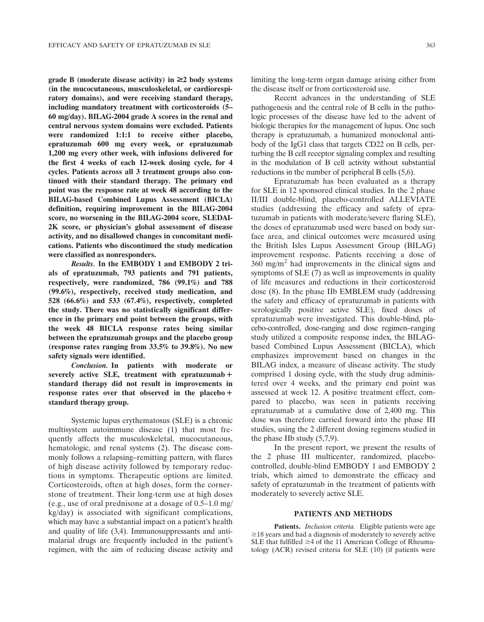grade B (moderate disease activity) in  $\geq 2$  body systems (in the mucocutaneous, musculoskeletal, or cardiorespiratory domains), and were receiving standard therapy, including mandatory treatment with corticosteroids (5– 60 mg/day). BILAG-2004 grade A scores in the renal and central nervous system domains were excluded. Patients were randomized 1:1:1 to receive either placebo, epratuzumab 600 mg every week, or epratuzumab 1,200 mg every other week, with infusions delivered for the first 4 weeks of each 12-week dosing cycle, for 4 cycles. Patients across all 3 treatment groups also continued with their standard therapy. The primary end point was the response rate at week 48 according to the BILAG-based Combined Lupus Assessment (BICLA) definition, requiring improvement in the BILAG-2004 score, no worsening in the BILAG-2004 score, SLEDAI-2K score, or physician's global assessment of disease activity, and no disallowed changes in concomitant medications. Patients who discontinued the study medication were classified as nonresponders.

Results. In the EMBODY 1 and EMBODY 2 trials of epratuzumab, 793 patients and 791 patients, respectively, were randomized, 786 (99.1%) and 788 (99.6%), respectively, received study medication, and 528 (66.6%) and 533 (67.4%), respectively, completed the study. There was no statistically significant difference in the primary end point between the groups, with the week 48 BICLA response rates being similar between the epratuzumab groups and the placebo group (response rates ranging from 33.5% to 39.8%). No new safety signals were identified.

Conclusion. In patients with moderate or severely active SLE, treatment with epratuzumab  $+$ standard therapy did not result in improvements in response rates over that observed in the placebo  $+$ standard therapy group.

Systemic lupus erythematosus (SLE) is a chronic multisystem autoimmune disease (1) that most frequently affects the musculoskeletal, mucocutaneous, hematologic, and renal systems (2). The disease commonly follows a relapsing–remitting pattern, with flares of high disease activity followed by temporary reductions in symptoms. Therapeutic options are limited. Corticosteroids, often at high doses, form the cornerstone of treatment. Their long-term use at high doses (e.g., use of oral prednisone at a dosage of 0.5–1.0 mg/ kg/day) is associated with significant complications, which may have a substantial impact on a patient's health and quality of life (3,4). Immunosuppressants and antimalarial drugs are frequently included in the patient's regimen, with the aim of reducing disease activity and

limiting the long-term organ damage arising either from the disease itself or from corticosteroid use.

Recent advances in the understanding of SLE pathogenesis and the central role of B cells in the pathologic processes of the disease have led to the advent of biologic therapies for the management of lupus. One such therapy is epratuzumab, a humanized monoclonal antibody of the IgG1 class that targets CD22 on B cells, perturbing the B cell receptor signaling complex and resulting in the modulation of B cell activity without substantial reductions in the number of peripheral B cells (5,6).

Epratuzumab has been evaluated as a therapy for SLE in 12 sponsored clinical studies. In the 2 phase II/III double-blind, placebo-controlled ALLEVIATE studies (addressing the efficacy and safety of epratuzumab in patients with moderate/severe flaring SLE), the doses of epratuzumab used were based on body surface area, and clinical outcomes were measured using the British Isles Lupus Assessment Group (BILAG) improvement response. Patients receiving a dose of  $360 \text{ mg/m}^2$  had improvements in the clinical signs and symptoms of SLE (7) as well as improvements in quality of life measures and reductions in their corticosteroid dose (8). In the phase IIb EMBLEM study (addressing the safety and efficacy of epratuzumab in patients with serologically positive active SLE), fixed doses of epratuzumab were investigated. This double-blind, placebo-controlled, dose-ranging and dose regimen–ranging study utilized a composite response index, the BILAGbased Combined Lupus Assessment (BICLA), which emphasizes improvement based on changes in the BILAG index, a measure of disease activity. The study comprised 1 dosing cycle, with the study drug administered over 4 weeks, and the primary end point was assessed at week 12. A positive treatment effect, compared to placebo, was seen in patients receiving epratuzumab at a cumulative dose of 2,400 mg. This dose was therefore carried forward into the phase III studies, using the 2 different dosing regimens studied in the phase IIb study (5,7,9).

In the present report, we present the results of the 2 phase III multicenter, randomized, placebocontrolled, double-blind EMBODY 1 and EMBODY 2 trials, which aimed to demonstrate the efficacy and safety of epratuzumab in the treatment of patients with moderately to severely active SLE.

#### PATIENTS AND METHODS

Patients. *Inclusion criteria*. Eligible patients were age  $\geq$ 18 years and had a diagnosis of moderately to severely active SLE that fulfilled  $\geq$ 4 of the 11 American College of Rheumatology (ACR) revised criteria for SLE (10) (if patients were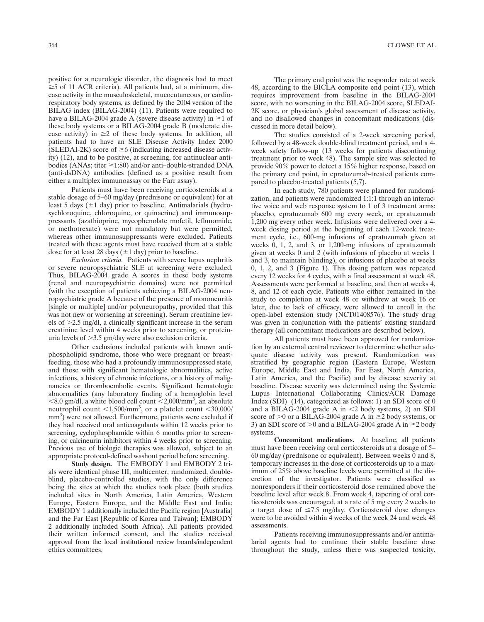positive for a neurologic disorder, the diagnosis had to meet  $\geq$  5 of 11 ACR criteria). All patients had, at a minimum, disease activity in the musculoskeletal, mucocutaneous, or cardiorespiratory body systems, as defined by the 2004 version of the BILAG index (BILAG-2004) (11). Patients were required to have a BILAG-2004 grade A (severe disease activity) in  $\geq 1$  of these body systems or a BILAG-2004 grade B (moderate disease activity) in  $\geq 2$  of these body systems. In addition, all patients had to have an SLE Disease Activity Index 2000 (SLEDAI-2K) score of  $\geq 6$  (indicating increased disease activity) (12), and to be positive, at screening, for antinuclear antibodies (ANAs; titer  $\geq$ 1:80) and/or anti-double-stranded DNA (anti-dsDNA) antibodies (defined as a positive result from either a multiplex immunoassay or the Farr assay).

Patients must have been receiving corticosteroids at a stable dosage of 5–60 mg/day (prednisone or equivalent) for at least 5 days ( $\pm 1$  day) prior to baseline. Antimalarials (hydroxychloroquine, chloroquine, or quinacrine) and immunosuppressants (azathioprine, mycophenolate mofetil, leflunomide, or methotrexate) were not mandatory but were permitted, whereas other immunosuppressants were excluded. Patients treated with these agents must have received them at a stable dose for at least 28 days ( $\pm$ 1 day) prior to baseline.

Exclusion criteria. Patients with severe lupus nephritis or severe neuropsychiatric SLE at screening were excluded. Thus, BILAG-2004 grade A scores in these body systems (renal and neuropsychiatric domains) were not permitted (with the exception of patients achieving a BILAG-2004 neuropsychiatric grade A because of the presence of mononeuritis [single or multiple] and/or polyneuropathy, provided that this was not new or worsening at screening). Serum creatinine levels of  $>2.5$  mg/dl, a clinically significant increase in the serum creatinine level within 4 weeks prior to screening, or proteinuria levels of  $>3.5$  gm/day were also exclusion criteria.

Other exclusions included patients with known antiphospholipid syndrome, those who were pregnant or breastfeeding, those who had a profoundly immunosuppressed state, and those with significant hematologic abnormalities, active infections, a history of chronic infections, or a history of malignancies or thromboembolic events. Significant hematologic abnormalities (any laboratory finding of a hemoglobin level  $<$ 8.0 gm/dl, a white blood cell count  $<$ 2,000/mm<sup>3</sup>, an absolute neutrophil count  $\langle 1,500/\text{mm}^3$ , or a platelet count  $\langle 30,000/\rangle$ mm<sup>3</sup>) were not allowed. Furthermore, patients were excluded if they had received oral anticoagulants within 12 weeks prior to screening, cyclophosphamide within 6 months prior to screening, or calcineurin inhibitors within 4 weeks prior to screening. Previous use of biologic therapies was allowed, subject to an appropriate protocol-defined washout period before screening.

Study design. The EMBODY 1 and EMBODY 2 trials were identical phase III, multicenter, randomized, doubleblind, placebo-controlled studies, with the only difference being the sites at which the studies took place (both studies included sites in North America, Latin America, Western Europe, Eastern Europe, and the Middle East and India; EMBODY 1 additionally included the Pacific region [Australia] and the Far East [Republic of Korea and Taiwan]; EMBODY 2 additionally included South Africa). All patients provided their written informed consent, and the studies received approval from the local institutional review boards/independent ethics committees.

The primary end point was the responder rate at week 48, according to the BICLA composite end point (13), which requires improvement from baseline in the BILAG-2004 score, with no worsening in the BILAG-2004 score, SLEDAI-2K score, or physician's global assessment of disease activity, and no disallowed changes in concomitant medications (discussed in more detail below).

The studies consisted of a 2-week screening period, followed by a 48-week double-blind treatment period, and a 4 week safety follow-up (13 weeks for patients discontinuing treatment prior to week 48). The sample size was selected to provide 90% power to detect a 15% higher response, based on the primary end point, in epratuzumab-treated patients compared to placebo-treated patients (5,7).

In each study, 780 patients were planned for randomization, and patients were randomized 1:1:1 through an interactive voice and web response system to 1 of 3 treatment arms: placebo, epratuzumab 600 mg every week, or epratuzumab 1,200 mg every other week. Infusions were delivered over a 4 week dosing period at the beginning of each 12-week treatment cycle, i.e., 600-mg infusions of epratuzumab given at weeks 0, 1, 2, and 3, or 1,200-mg infusions of epratuzumab given at weeks 0 and 2 (with infusions of placebo at weeks 1 and 3, to maintain blinding), or infusions of placebo at weeks 0, 1, 2, and 3 (Figure 1). This dosing pattern was repeated every 12 weeks for 4 cycles, with a final assessment at week 48. Assessments were performed at baseline, and then at weeks 4, 8, and 12 of each cycle. Patients who either remained in the study to completion at week 48 or withdrew at week 16 or later, due to lack of efficacy, were allowed to enroll in the open-label extension study (NCT01408576). The study drug was given in conjunction with the patients' existing standard therapy (all concomitant medications are described below).

All patients must have been approved for randomization by an external central reviewer to determine whether adequate disease activity was present. Randomization was stratified by geographic region (Eastern Europe, Western Europe, Middle East and India, Far East, North America, Latin America, and the Pacific) and by disease severity at baseline. Disease severity was determined using the Systemic Lupus International Collaborating Clinics/ACR Damage Index (SDI) (14), categorized as follows: 1) an SDI score of 0 and a BILAG-2004 grade A in  $\leq$ 2 body systems, 2) an SDI score of  $>0$  or a BILAG-2004 grade A in  $\geq$ 2 body systems, or 3) an SDI score of  $>0$  and a BILAG-2004 grade A in  $\geq$ 2 body systems.

Concomitant medications. At baseline, all patients must have been receiving oral corticosteroids at a dosage of 5– 60 mg/day (prednisone or equivalent). Between weeks 0 and 8, temporary increases in the dose of corticosteroids up to a maximum of 25% above baseline levels were permitted at the discretion of the investigator. Patients were classified as nonresponders if their corticosteroid dose remained above the baseline level after week 8. From week 4, tapering of oral corticosteroids was encouraged, at a rate of 5 mg every 2 weeks to a target dose of  $\leq$ 7.5 mg/day. Corticosteroid dose changes were to be avoided within 4 weeks of the week 24 and week 48 assessments.

Patients receiving immunosuppressants and/or antimalarial agents had to continue their stable baseline dose throughout the study, unless there was suspected toxicity.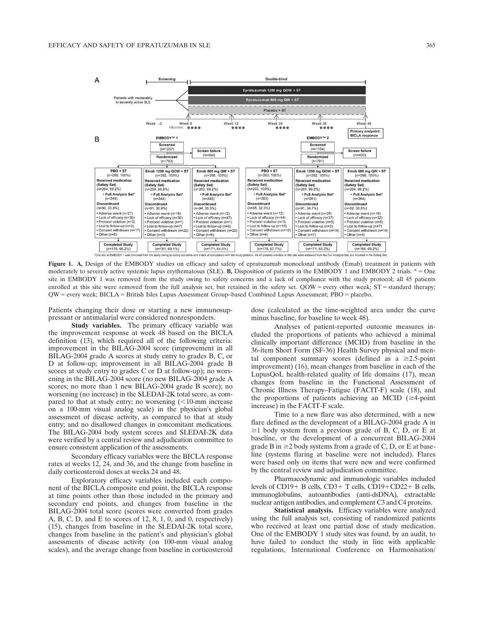

Figure 1. A, Design of the EMBODY studies on efficacy and safety of epratuzumab monoclonal antibody (Emab) treatment in patients with moderately to severely active systemic lupus erythematosus (SLE). B, Disposition of patients in the EMBODY 1 and EMBODY 2 trials. \*= One site in EMBODY 1 was removed from the study owing to safety concerns and a lack of compliance with the study protocol; all 45 patients enrolled at this site were removed from the full analysis set, but retained in the safety set. QOW = every other week;  $ST =$  standard therapy; QW = every week; BICLA = British Isles Lupus Assessment Group–based Combined Lupus Assessment; PBO = placebo.

Patients changing their dose or starting a new immunosuppressant or antimalarial were considered nonresponders.

Study variables. The primary efficacy variable was the improvement response at week 48 based on the BICLA definition (13), which required all of the following criteria: improvement in the BILAG-2004 score (improvement in all BILAG-2004 grade A scores at study entry to grades B, C, or D at follow-up; improvement in all BILAG-2004 grade B scores at study entry to grades C or D at follow-up); no worsening in the BILAG-2004 score (no new BILAG-2004 grade A scores; no more than 1 new BILAG-2004 grade B score); no worsening (no increase) in the SLEDAI-2K total score, as compared to that at study entry; no worsening  $\approx$  10-mm increase on a 100-mm visual analog scale) in the physician's global assessment of disease activity, as compared to that at study entry; and no disallowed changes in concomitant medications. The BILAG-2004 body system scores and SLEDAI-2K data were verified by a central review and adjudication committee to ensure consistent application of the assessments.

Secondary efficacy variables were the BICLA response rates at weeks 12, 24, and 36, and the change from baseline in daily corticosteroid doses at weeks 24 and 48.

Exploratory efficacy variables included each component of the BICLA composite end point, the BICLA response at time points other than those included in the primary and secondary end points, and changes from baseline in the BILAG-2004 total score (scores were converted from grades A, B, C, D, and E to scores of 12, 8, 1, 0, and 0, respectively) (15), changes from baseline in the SLEDAI-2K total score, changes from baseline in the patient's and physician's global assessments of disease activity (on 100-mm visual analog scales), and the average change from baseline in corticosteroid dose (calculated as the time-weighted area under the curve minus baseline, for baseline to week 48).

Analyses of patient-reported outcome measures included the proportions of patients who achieved a minimal clinically important difference (MCID) from baseline in the 36-item Short Form (SF-36) Health Survey physical and mental component summary scores (defined as  $a \ge 2.5$ -point improvement) (16), mean changes from baseline in each of the LupusQoL health-related quality of life domains (17), mean changes from baseline in the Functional Assessment of Chronic Illness Therapy–Fatigue (FACIT-F) scale (18), and the proportions of patients achieving an MCID  $(\geq 4$ -point increase) in the FACIT-F scale.

Time to a new flare was also determined, with a new flare defined as the development of a BILAG-2004 grade A in  $\geq$ 1 body system from a previous grade of B, C, D, or E at baseline, or the development of a concurrent BILAG-2004 grade B in  $\geq$ 2 body systems from a grade of C, D, or E at baseline (systems flaring at baseline were not included). Flares were based only on items that were new and were confirmed by the central review and adjudication committee.

Pharmacodynamic and immunologic variables included levels of CD19+ B cells, CD3+ T cells, CD19+CD22+ B cells, immunoglobulins, autoantibodies (anti-dsDNA), extractable nuclear antigen antibodies, and complement C3 and C4 proteins.

Statistical analysis. Efficacy variables were analyzed using the full analysis set, consisting of randomized patients who received at least one partial dose of study medication. One of the EMBODY 1 study sites was found, by an audit, to have failed to conduct the study in line with applicable regulations, International Conference on Harmonisation/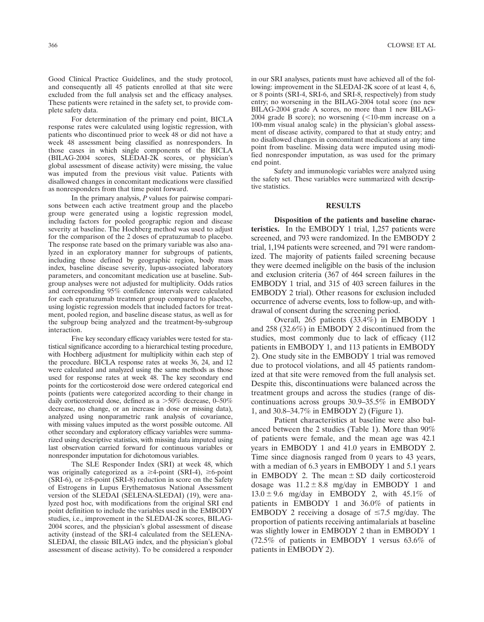Good Clinical Practice Guidelines, and the study protocol, and consequently all 45 patients enrolled at that site were excluded from the full analysis set and the efficacy analyses. These patients were retained in the safety set, to provide complete safety data.

For determination of the primary end point, BICLA response rates were calculated using logistic regression, with patients who discontinued prior to week 48 or did not have a week 48 assessment being classified as nonresponders. In those cases in which single components of the BICLA (BILAG-2004 scores, SLEDAI-2K scores, or physician's global assessment of disease activity) were missing, the value was imputed from the previous visit value. Patients with disallowed changes in concomitant medications were classified as nonresponders from that time point forward.

In the primary analysis, P values for pairwise comparisons between each active treatment group and the placebo group were generated using a logistic regression model, including factors for pooled geographic region and disease severity at baseline. The Hochberg method was used to adjust for the comparison of the 2 doses of epratuzumab to placebo. The response rate based on the primary variable was also analyzed in an exploratory manner for subgroups of patients, including those defined by geographic region, body mass index, baseline disease severity, lupus-associated laboratory parameters, and concomitant medication use at baseline. Subgroup analyses were not adjusted for multiplicity. Odds ratios and corresponding 95% confidence intervals were calculated for each epratuzumab treatment group compared to placebo, using logistic regression models that included factors for treatment, pooled region, and baseline disease status, as well as for the subgroup being analyzed and the treatment-by-subgroup interaction.

Five key secondary efficacy variables were tested for statistical significance according to a hierarchical testing procedure, with Hochberg adjustment for multiplicity within each step of the procedure. BICLA response rates at weeks 36, 24, and 12 were calculated and analyzed using the same methods as those used for response rates at week 48. The key secondary end points for the corticosteroid dose were ordered categorical end points (patients were categorized according to their change in daily corticosteroid dose, defined as a  $>50\%$  decrease, 0–50% decrease, no change, or an increase in dose or missing data), analyzed using nonparametric rank analysis of covariance, with missing values imputed as the worst possible outcome. All other secondary and exploratory efficacy variables were summarized using descriptive statistics, with missing data imputed using last observation carried forward for continuous variables or nonresponder imputation for dichotomous variables.

The SLE Responder Index (SRI) at week 48, which was originally categorized as a  $\geq$ 4-point (SRI-4),  $\geq$ 6-point (SRI-6), or  $\geq$ 8-point (SRI-8) reduction in score on the Safety of Estrogens in Lupus Erythematosus National Assessment version of the SLEDAI (SELENA-SLEDAI) (19), were analyzed post hoc, with modifications from the original SRI end point definition to include the variables used in the EMBODY studies, i.e., improvement in the SLEDAI-2K scores, BILAG-2004 scores, and the physician's global assessment of disease activity (instead of the SRI-4 calculated from the SELENA-SLEDAI, the classic BILAG index, and the physician's global assessment of disease activity). To be considered a responder

in our SRI analyses, patients must have achieved all of the following: improvement in the SLEDAI-2K score of at least 4, 6, or 8 points (SRI-4, SRI-6, and SRI-8, respectively) from study entry; no worsening in the BILAG-2004 total score (no new BILAG-2004 grade A scores, no more than 1 new BILAG-2004 grade B score); no worsening  $\left($  < 10-mm increase on a 100-mm visual analog scale) in the physician's global assessment of disease activity, compared to that at study entry; and no disallowed changes in concomitant medications at any time point from baseline. Missing data were imputed using modified nonresponder imputation, as was used for the primary end point.

Safety and immunologic variables were analyzed using the safety set. These variables were summarized with descriptive statistics.

#### RESULTS

Disposition of the patients and baseline characteristics. In the EMBODY 1 trial, 1,257 patients were screened, and 793 were randomized. In the EMBODY 2 trial, 1,194 patients were screened, and 791 were randomized. The majority of patients failed screening because they were deemed ineligible on the basis of the inclusion and exclusion criteria (367 of 464 screen failures in the EMBODY 1 trial, and 315 of 403 screen failures in the EMBODY 2 trial). Other reasons for exclusion included occurrence of adverse events, loss to follow-up, and withdrawal of consent during the screening period.

Overall, 265 patients (33.4%) in EMBODY 1 and 258 (32.6%) in EMBODY 2 discontinued from the studies, most commonly due to lack of efficacy (112 patients in EMBODY 1, and 113 patients in EMBODY 2). One study site in the EMBODY 1 trial was removed due to protocol violations, and all 45 patients randomized at that site were removed from the full analysis set. Despite this, discontinuations were balanced across the treatment groups and across the studies (range of discontinuations across groups 30.9–35.5% in EMBODY 1, and 30.8–34.7% in EMBODY 2) (Figure 1).

Patient characteristics at baseline were also balanced between the 2 studies (Table 1). More than 90% of patients were female, and the mean age was 42.1 years in EMBODY 1 and 41.0 years in EMBODY 2. Time since diagnosis ranged from 0 years to 43 years, with a median of 6.3 years in EMBODY 1 and 5.1 years in EMBODY 2. The mean  $\pm$  SD daily corticosteroid dosage was  $11.2 \pm 8.8$  mg/day in EMBODY 1 and  $13.0 \pm 9.6$  mg/day in EMBODY 2, with  $45.1\%$  of patients in EMBODY 1 and 36.0% of patients in EMBODY 2 receiving a dosage of  $\leq$ 7.5 mg/day. The proportion of patients receiving antimalarials at baseline was slightly lower in EMBODY 2 than in EMBODY 1 (72.5% of patients in EMBODY 1 versus 63.6% of patients in EMBODY 2).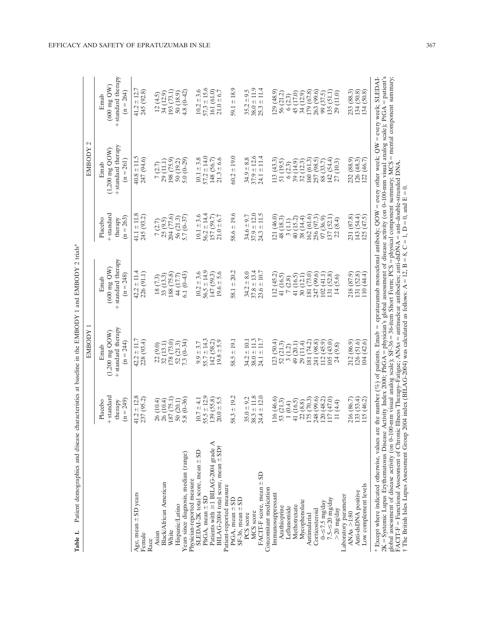|                                                                                                                                                                                                                                     |                                                      | EMBODY                                                                        |                                                                                                                    |                                                       | $\mathcal{C}$<br>EMBODY                                                       |                                                                    |
|-------------------------------------------------------------------------------------------------------------------------------------------------------------------------------------------------------------------------------------|------------------------------------------------------|-------------------------------------------------------------------------------|--------------------------------------------------------------------------------------------------------------------|-------------------------------------------------------|-------------------------------------------------------------------------------|--------------------------------------------------------------------|
|                                                                                                                                                                                                                                     | + standard<br>$(n = 249)$<br>Placebo<br>therapy      | + standard therapy<br>$(1,200 \text{ mg } \text{QOW})$<br>$(n = 244)$<br>Emab | + standard therapy<br>$(600 \text{ mg QW})$<br>$(n = 248)$<br>Emab                                                 | + standard<br>$(n = 263)$<br>Placebo<br>therapy       | + standard therapy<br>$(1,200 \text{ mg } \text{QOW})$<br>$(n = 261)$<br>Emab | + standard therapy<br>$(600 \text{ mg QW})$<br>$(n = 264)$<br>Emab |
| Age, mean $\pm$ SD years<br>Female                                                                                                                                                                                                  | $41.2 \pm 12.8$<br>237 (95.2)                        | $42.2 \pm 11.7$<br>228 (93.4)                                                 | $42.2 \pm 11.4$<br>226 (91.1)                                                                                      | $41.1 \pm 11.8$<br>245 (93.2)                         | $40.8 \pm 11.5$<br>247 (94.6)                                                 | $41.2 \pm 12.7$<br>245 (92.8)                                      |
| Black/African American<br>Asian<br>Race                                                                                                                                                                                             | 26 (10.4)<br>26 (10.4)                               | 32(13.1)<br>22 (9.0)                                                          | $\frac{18(7.3)}{33(13.3)}$                                                                                         | 25(9.5)<br>7(2.7)                                     | 29(11.1)<br>7(2.7)                                                            | 34(12.9)<br>12(4.5)                                                |
| Years since diagnosis, median (range)<br>Hispanic/Latino<br>White                                                                                                                                                                   | $5.8(0-36)$<br>187 (75.1<br>50(20.1)                 | $7.3(0-34)$<br>178 (73.0)<br>52(21.3)                                         | $6.1(0-43)$<br>188 (75.8)<br>44 (17.7)                                                                             | 204 (77.6)<br>$5.7(0-37)$<br>56 (21.3)                | $5.0(0-29)$<br>198 (75.9)<br>50 (19.2)                                        | 193 (73.1)<br>$4.8(0-42)$<br>50 (18.9)                             |
| Patients with $\geq$ 1 BILAG-2004 grade A<br>SLEDAI-2K total score, mean ± SD<br>Physician-reported measure<br>PhGA, mean $\pm$ SD                                                                                                  | $55.5 \pm 12.9$<br>(39(55.8))<br>$10.7 \pm 4.1$      | $55.7 \pm 14.3$<br>142 (58.2)<br>$9.9 \pm 3.7$                                | $56.5 \pm 14.9$<br>$10.2 \pm 3.6$<br>147 (59.3)                                                                    | $56.2 \pm 14.4$<br>$10.1 \pm 3.6$<br>157 (59.7)       | $57.2 \pm 14.0$<br>$10.1 \pm 3.8$<br>148 (56.7)                               | $57.3 \pm 15.6$<br>$10.2 \pm 3.6$<br>161 (61.0)                    |
| BILAG-2004 total score, mean ± SD†<br>Patient-reported measure<br>PtGA, mean $\pm$ SD                                                                                                                                               | $58.3 \pm 19.2$<br>$20.0 \pm 5.5$                    | $58.5 \pm 19.1$<br>$19.8 \pm 5.9$                                             | $58.1 \pm 20.2$<br>$19.6 \pm 5.6$                                                                                  | $58.6 \pm 19.6$<br>$21.0 \pm 6.7$                     | $60.2 \pm 19.0$<br>$21.3 \pm 6.6$                                             | $59.1 \pm 18.9$<br>$21.0 \pm 6.7$                                  |
| FACIT-F score, mean ± SD<br>$SF-36$ , mean $\pm$ SD<br>MCS score<br>PCS score                                                                                                                                                       | $38.3 \pm 11.8$<br>$24.4 \pm 12.0$<br>$35.0 \pm 9.2$ | $38.0 \pm 11.3$<br>±11.7<br>$34.2 \pm 10.1$<br>24.1                           | $37.8 \pm 13.4$<br>$23.6 \pm 10.7$<br>$34.2 \pm 8.0$                                                               | $37.9 \pm 12.0$<br>$24.3 \pm 11.5$<br>$34.6 \pm 9.7$  | $37.9 \pm 12.6$<br>$24.1 \pm 11.4$<br>$34.9 \pm 8.8$                          | $38.0 \pm 11.9$<br>$25.3 \pm 11.4$<br>$35.2 \pm 9.5$               |
| Concomitant medication<br>Immunosuppressant<br>Azathioprine<br>Leflunomide                                                                                                                                                          | 116 (46.6)<br>53 (21.3)<br>1(0.4)                    | 123(50.4)<br>52(21.3)<br>3(1.2)                                               | 112(45.2)<br>41 (16.5)<br>(2.8)<br>$\mathbf{r}$                                                                    | 121 (46.0)<br>48 (18.3)<br>3(1.1)                     | 113(43.3)<br>51 (19.5)<br>6(2.3)                                              | 129(48.9)<br>56 (21.2)<br>6(2.3)                                   |
| Mycophenolate<br>Methotrexate<br>Corticosteroid<br>Antimalarial                                                                                                                                                                     | [75 (70.3)]<br>248 (99.6)<br>41 (16.5)<br>22(8.8)    | (74.2)<br>(98.8)<br>(20.1)<br>29 (11.4)<br>241<br>49 <sub>1</sub><br>181      | (73.0)<br>(99.6)<br>41 (16.5)<br>30(12.1)<br>181<br>247                                                            | 162 (61.6)<br>256 (97.3)<br>40 (15.2)<br>38 (14.4)    | 160(61.3)<br>257 (98.5)<br>39(14.9)<br>32(12.3)                               | 179 (67.8)<br>263 (99.6)<br>45 (17.0)<br>34(12.9)                  |
| $7.5 - \le 20$ mg/day<br>$0 = 7.5$ mg/day<br>$>$ 20 mg/day                                                                                                                                                                          | 117(47.0)<br>(20(48.2))<br>11 (4.4)                  | (43.0)<br>(45.9)<br>(9.8)<br>105 <sub>1</sub><br>112<br>$\overline{24}$       | (52.8)<br>(41.1)<br>(5.6)<br>102<br>131<br>$\overline{14}$                                                         | (52.1)<br>97(36.9)<br>(8.4)<br>137 <sub>1</sub><br>22 | 142 (54.4)<br>88 (33.7)<br>27(10.3)                                           | 135 (51.1)<br>29 (11.0)<br>99 (37.5)                               |
| Low complement levels<br>Anti-dsDNA positive<br>Laboratory parameter<br>ANAs >1:80                                                                                                                                                  | 216 (86.7)<br>(33(53.4)<br>115(46.2)                 | 212 (86.9)<br>126 (51.6)<br>(42.6)<br>104                                     | 218 (87.9)<br>131(52.8)<br>(44.4)<br>110                                                                           | 231 (87.8)<br>(54.4)<br>(47.5)<br>143<br>125          | 232 (88.9)<br>126 (48.3)<br>(46.7)<br>122                                     | 233 (88.3)<br>(50.8)<br>(50.8)<br>134<br>134                       |
| $2K = Systemic$ Lupus Erythematosus Disease Activity Index 2000; PhOA = physician's global assessment of disease activity (on 0-100-mm visual analog scale); PtOA = patient's<br>* Except where indicated otherwise, values are the |                                                      |                                                                               | e number (%) of patients. Emab = epratuzumab monoclonal antibody; QOW = every other week; QW = every week; SLEDAI- |                                                       |                                                                               |                                                                    |

Table 1. Patient demographics and disease characteristics at baseline in the EMBODY 1 and EMBODY 2 trials\* Table 1. Patient demographics and disease characteristics at baseline in the EMBODY 1 and EMBODY 2 trials\*

global assessment of disease activity (on 0–100-mm visual analog scale); SF-36

Functional Assessment of Chronic Illness Therapy–Fatigue; ANAs

† The British Isles Lupus Assessment Group 2004 index (BILAG-2004) was calculated as follows: A

FACIT-F

36-item Short Form; PCS

antinuclear antibodies; anti-dsDNA

 $= 12, B = 8, C = 1, D =$ 

 $= 0$ , and  $E$ 

ت<br>=

physical component summary; MCS

anti–double-stranded DNA.

mental component summary;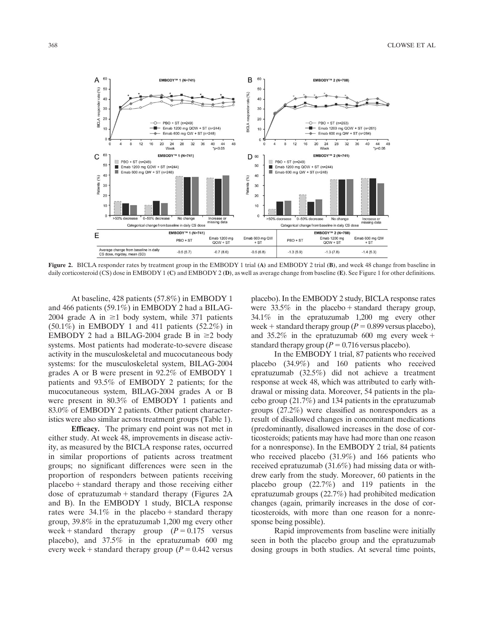

Figure 2. BICLA responder rates by treatment group in the EMBODY 1 trial (A) and EMBODY 2 trial (B), and week 48 change from baseline in daily corticosteroid (CS) dose in EMBODY 1 (C) and EMBODY 2 (D), as well as average change from baseline (E). See Figure 1 for other definitions.

At baseline, 428 patients (57.8%) in EMBODY 1 and 466 patients (59.1%) in EMBODY 2 had a BILAG-2004 grade A in  $\geq$ 1 body system, while 371 patients  $(50.1\%)$  in EMBODY 1 and 411 patients  $(52.2\%)$  in EMBODY 2 had a BILAG-2004 grade B in  $\geq 2$  body systems. Most patients had moderate-to-severe disease activity in the musculoskeletal and mucocutaneous body systems: for the musculoskeletal system, BILAG-2004 grades A or B were present in 92.2% of EMBODY 1 patients and 93.5% of EMBODY 2 patients; for the mucocutaneous system, BILAG-2004 grades A or B were present in 80.3% of EMBODY 1 patients and 83.0% of EMBODY 2 patients. Other patient characteristics were also similar across treatment groups (Table 1).

Efficacy. The primary end point was not met in either study. At week 48, improvements in disease activity, as measured by the BICLA response rates, occurred in similar proportions of patients across treatment groups; no significant differences were seen in the proportion of responders between patients receiving  $p$ lacebo  $+$  standard therapy and those receiving either dose of epratuzumab  $+$  standard therapy (Figures 2A and B). In the EMBODY 1 study, BICLA response rates were  $34.1\%$  in the placebo + standard therapy group, 39.8% in the epratuzumab 1,200 mg every other week + standard therapy group  $(P = 0.175$  versus placebo), and 37.5% in the epratuzumab 600 mg every week + standard therapy group ( $P = 0.442$  versus placebo). In the EMBODY 2 study, BICLA response rates were  $33.5\%$  in the placebo + standard therapy group, 34.1% in the epratuzumab 1,200 mg every other week + standard therapy group ( $P = 0.899$  versus placebo), and  $35.2\%$  in the epratuzumab 600 mg every week + standard therapy group ( $P = 0.716$  versus placebo).

In the EMBODY 1 trial, 87 patients who received placebo (34.9%) and 160 patients who received epratuzumab (32.5%) did not achieve a treatment response at week 48, which was attributed to early withdrawal or missing data. Moreover, 54 patients in the placebo group (21.7%) and 134 patients in the epratuzumab groups (27.2%) were classified as nonresponders as a result of disallowed changes in concomitant medications (predominantly, disallowed increases in the dose of corticosteroids; patients may have had more than one reason for a nonresponse). In the EMBODY 2 trial, 84 patients who received placebo (31.9%) and 166 patients who received epratuzumab (31.6%) had missing data or withdrew early from the study. Moreover, 60 patients in the placebo group (22.7%) and 119 patients in the epratuzumab groups (22.7%) had prohibited medication changes (again, primarily increases in the dose of corticosteroids, with more than one reason for a nonresponse being possible).

Rapid improvements from baseline were initially seen in both the placebo group and the epratuzumab dosing groups in both studies. At several time points,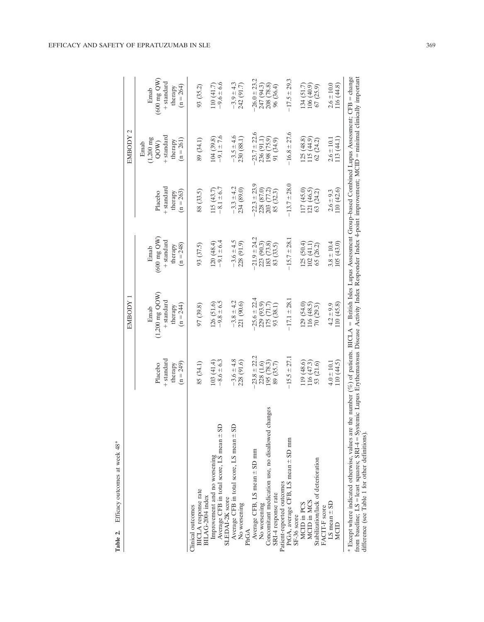|                                                                                                                                                                                                                                                                                                                                                                                                     |                                                 | EMBODY 1                                                                         |                                                                       |                                                 | EMBODY 2                                                                     |                                                                       |
|-----------------------------------------------------------------------------------------------------------------------------------------------------------------------------------------------------------------------------------------------------------------------------------------------------------------------------------------------------------------------------------------------------|-------------------------------------------------|----------------------------------------------------------------------------------|-----------------------------------------------------------------------|-------------------------------------------------|------------------------------------------------------------------------------|-----------------------------------------------------------------------|
|                                                                                                                                                                                                                                                                                                                                                                                                     | + standard<br>$(n = 249)$<br>Placebo<br>therapy | $(1,200 \text{ mg } \text{QOW})$<br>+ standard<br>$(n = 244)$<br>therapy<br>Emab | $(600 \text{ mg QW})$<br>+ standard<br>$(n = 248)$<br>therapy<br>Emab | + standard<br>$(n = 263)$<br>Placebo<br>therapy | + standard<br>$(1,200 \text{ mg})$<br>$(n = 261)$<br>therapy<br>Emab<br>QOW) | $(600 \text{ mg QW})$<br>+ standard<br>$(n = 264)$<br>therapy<br>Emab |
| <b>BICLA</b> response rate<br>BILAG-2004 index<br>Clinical outcomes                                                                                                                                                                                                                                                                                                                                 | 85 (34.1)                                       | 97 (39.8)                                                                        | 93 (37.5)                                                             | 88 (33.5)                                       | 89 (34.1)                                                                    | 93 (35.2)                                                             |
| Average CFB in total score, LS mean ± SD<br>Improvement and no worsening<br>SLEDAI-2K score                                                                                                                                                                                                                                                                                                         | $-8.6 \pm 6.3$<br>103(41.4)                     | $-9.8 \pm 6.5$<br>126 (51.6)                                                     | $-9.1 \pm 6.4$<br>120(48.4)                                           | $-8.1 \pm 6.7$<br>115 (43.7)                    | $-9.1 \pm 7.6$<br>104(39.8)                                                  | $-9.6 \pm 6.6$<br>110(41.7)                                           |
| Average CFB in total score, LS mean $\pm$ SD<br>No worsening<br>PhGA                                                                                                                                                                                                                                                                                                                                | $-3.6 \pm 4.8$<br>228 (91.6)                    | $-3.8 \pm 4.2$<br>221 (90.6)                                                     | $-3.6 \pm 4.5$<br>228 (91.9)                                          | $-3.3 \pm 4.2$<br>234 (89.0)                    | $-3.5 \pm 4.6$<br>230 (88.1)                                                 | $-3.9 \pm 4.3$<br>242 (91.7)                                          |
| ges<br>Concomitant medication use, no disallowed chan<br>Average CFB, LS mean ± SD mm<br>No worsening                                                                                                                                                                                                                                                                                               | $-23.8 \pm 22.2$<br>195 (78.3)<br>228 (1.6)     | $25.6 \pm 22.4$<br>229 (93.9)<br>175(71.7)                                       | $21.9 \pm 24.2$<br>223 (90.3)<br>183 (73.8)                           | $-22.3 \pm 23.9$<br>228 (87.0)<br>203 (77.2)    | $23.7 \pm 22.6$<br>198 (75.9)<br>236 (91.1)                                  | $-26.0 \pm 23.2$<br>247 (94.3)<br>208 (78.8)                          |
| PtGA, average CFB, LS mean ± SD mm<br>Patient-reported outcomes<br>SRI-4 response rate<br>SF-36 score                                                                                                                                                                                                                                                                                               | $-15.5 \pm 27.1$<br>89 (35.7)                   | $-17.1 \pm 28.1$<br>93 (38.1)                                                    | $-15.7 \pm 28.1$<br>83 (33.5)                                         | $-13.7 \pm 28.0$<br>85 (32.3)                   | $-16.8 \pm 27.6$<br>91 (34.9)                                                | $-17.5 \pm 29.3$<br>96 (36.4)                                         |
| Stabilization/lack of deterioration<br>MCID in MCS<br>MCID in PCS<br>FACIT-F score                                                                                                                                                                                                                                                                                                                  | 119 (48.6)<br>116(47.3)<br>53 (21.6)            | (29(54.0)<br>116(48.5)<br>70(29.3)                                               | 125 (50.4)<br>102(41.1)<br>65(26.2)                                   | 117(45.0)<br>121 (46.5)<br>63 (24.2)            | 125(48.8)<br>115 (44.9)<br>62(24.2)                                          | 134 (51.7)<br>106 (40.9)<br>67(25.9)                                  |
| LS mean $\pm$ SD<br>MCID                                                                                                                                                                                                                                                                                                                                                                            | 110 (44.5)<br>$4.0 \pm 10.1$                    | (10(45.8))<br>$4.2 \pm 9.9$                                                      | 105(43.0)<br>$3.8 \pm 10.4$                                           | 110 (42.6)<br>$2.6 \pm 9.3$                     | 113 (44.1)<br>$2.6 \pm 10.1$                                                 | (16(44.8))<br>$2.6 \pm 10.0$                                          |
| * Except where indicated otherwise, values are the number (%) of patients. BICLA = British Isles Lupus Assessment Group-based Combined Lupus Assessment; CFB = change<br>from baseline; LS = least squares; SRI-4 = Systemic Lupus Erythematosus Disease Activity Index Responder Index 4-point improvement; MCID = minimal clinically important<br>difference (see Table 1 for other definitions). |                                                 |                                                                                  |                                                                       |                                                 |                                                                              |                                                                       |

EFFICACY AND SAFETY OF EPRATUZUMAB IN SLE 369

Table 2. Efficacy outcomes at week 48\*

Table 2. Efficacy outcomes at week  $48^*$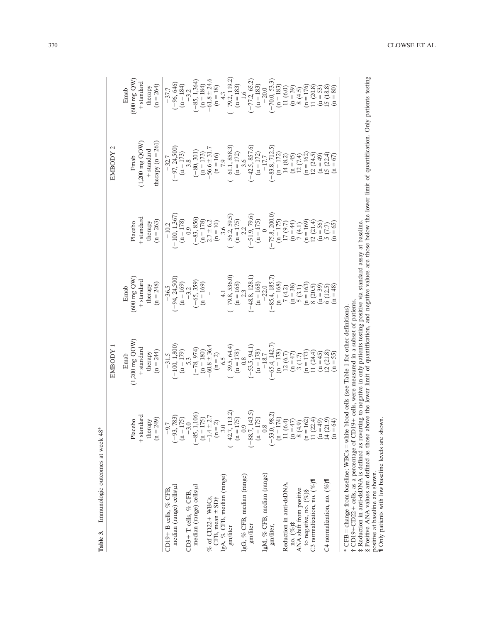|                                                                                            |                                                              | EMBODY 1                                                                                                                                                                                                                                                                    |                                                                                                                                                                                                                                   |                                                                                                                                                                                                                                                                                                | EMBODY 2                                                                                                                                                                                                                                                                       |                                                                                                                                                        |
|--------------------------------------------------------------------------------------------|--------------------------------------------------------------|-----------------------------------------------------------------------------------------------------------------------------------------------------------------------------------------------------------------------------------------------------------------------------|-----------------------------------------------------------------------------------------------------------------------------------------------------------------------------------------------------------------------------------|------------------------------------------------------------------------------------------------------------------------------------------------------------------------------------------------------------------------------------------------------------------------------------------------|--------------------------------------------------------------------------------------------------------------------------------------------------------------------------------------------------------------------------------------------------------------------------------|--------------------------------------------------------------------------------------------------------------------------------------------------------|
|                                                                                            |                                                              | Emab                                                                                                                                                                                                                                                                        | Emab                                                                                                                                                                                                                              |                                                                                                                                                                                                                                                                                                |                                                                                                                                                                                                                                                                                | Emab                                                                                                                                                   |
|                                                                                            | + standard<br>Placebo                                        | $(1,200 \text{ mg } \text{QOW})$<br>$+$ standard                                                                                                                                                                                                                            | (600 mg QW)<br>$+$ standard                                                                                                                                                                                                       | + standard<br>Placebo                                                                                                                                                                                                                                                                          | Emab                                                                                                                                                                                                                                                                           | $(600 \text{ mg QW})$<br>+ standard                                                                                                                    |
|                                                                                            | therapy<br>( $n = 249$ )                                     |                                                                                                                                                                                                                                                                             | therapy<br>( $n = 248$ )                                                                                                                                                                                                          | therapy                                                                                                                                                                                                                                                                                        | $(1,200~{\rm mg}~{\rm QOW})\\ +{\rm standard}$                                                                                                                                                                                                                                 | therapy                                                                                                                                                |
|                                                                                            |                                                              | therapy<br>( $n = 244$ )                                                                                                                                                                                                                                                    |                                                                                                                                                                                                                                   | $(n = 263)$                                                                                                                                                                                                                                                                                    | therapy $(n = 261)$                                                                                                                                                                                                                                                            | $(n = 264)$                                                                                                                                            |
| CD19+ B cells, % CFB                                                                       | $-9.7$                                                       |                                                                                                                                                                                                                                                                             |                                                                                                                                                                                                                                   |                                                                                                                                                                                                                                                                                                |                                                                                                                                                                                                                                                                                |                                                                                                                                                        |
| median (range) cells/µl                                                                    | $(-93, 783)$<br>(n = 175)                                    | $\begin{array}{r} -31.5\\ (-100, 1,800)\\ (n=179)\\ 5.3\\ (-78, 974)\\ (n=180)\\ (n=2)\\ (n=2)\\ (n=3)\\ (-39.5, 64.4)\\ (n=178)\\ (n=178)\\ \end{array}$                                                                                                                   | $(-94, 24, 500)$<br>$(n = 169)$<br>$(n = 169)$<br>$(-65, 359)$<br>$(n = 169)$                                                                                                                                                     | $\begin{array}{r} -10.2\\ (-100, 1,367)\\ (n=178)\\ (-83, 856)\\ (n=178)\\ (n=10)\\ (n=175)\\ (n=175)\\ (-56.2, 59.5)\\ (-56.2, 59.5)\\ (-51.9, 79.6)\\ (-51.9, 79.6)\\ (-51.9, 79.6)\\ (-75.8, 200.0)\\ (n=175)\\ (n=14)\\ (n=169)\\ (n=65)\\ (n=65)\\ (n=65)\\ (n=65)\\ (n=65)\\ (n=65)\\ ($ | $(-97, 24,500)$<br>$(n = 173)$<br>$(-80, 6 + 31)$<br>$(-80, 6 + 31)$<br>$(-80, 6 + 31)$<br>$(-61, 1, 888.3)$<br>$(-61, 1, 888.3)$<br>$(-42, 857.6)$<br>$(-42, 81, 72)$<br>$(-42, 81, 72)$<br>$(-83, 712.5)$<br>$(-83, 712.5)$<br>$(-81, 24)$<br>$(1 - 172)$<br>$(1 - 172)$<br> | $-37.7$<br>$(-96, 646)$                                                                                                                                |
|                                                                                            |                                                              |                                                                                                                                                                                                                                                                             |                                                                                                                                                                                                                                   |                                                                                                                                                                                                                                                                                                |                                                                                                                                                                                                                                                                                | $(n = 184)$                                                                                                                                            |
| CD3+T cells, % CFB,                                                                        | $-3.0$                                                       |                                                                                                                                                                                                                                                                             |                                                                                                                                                                                                                                   |                                                                                                                                                                                                                                                                                                |                                                                                                                                                                                                                                                                                | $-3.2$                                                                                                                                                 |
| median (range) cells/µl                                                                    | $(-85, 1,106)$<br>$(n = 175)$<br>$-1.4 \pm 2.7$<br>$(n = 2)$ |                                                                                                                                                                                                                                                                             |                                                                                                                                                                                                                                   |                                                                                                                                                                                                                                                                                                |                                                                                                                                                                                                                                                                                | $(-85, 1,364)$<br>$(n = 184)$<br>$-(61.8 \pm 24.6)$<br>$(n = 18)$<br>$(10, 19)$<br>$(1, 119)$<br>$(-79.2, 119.2)$<br>$(1.6)$                           |
|                                                                                            |                                                              |                                                                                                                                                                                                                                                                             |                                                                                                                                                                                                                                   |                                                                                                                                                                                                                                                                                                |                                                                                                                                                                                                                                                                                |                                                                                                                                                        |
| $%$ of CD22+ WBCs,                                                                         |                                                              |                                                                                                                                                                                                                                                                             |                                                                                                                                                                                                                                   |                                                                                                                                                                                                                                                                                                |                                                                                                                                                                                                                                                                                |                                                                                                                                                        |
| CFB, mean ± SD†                                                                            |                                                              |                                                                                                                                                                                                                                                                             |                                                                                                                                                                                                                                   |                                                                                                                                                                                                                                                                                                |                                                                                                                                                                                                                                                                                |                                                                                                                                                        |
| IgA, % CFB, median (range)                                                                 | 3.0                                                          |                                                                                                                                                                                                                                                                             |                                                                                                                                                                                                                                   |                                                                                                                                                                                                                                                                                                |                                                                                                                                                                                                                                                                                |                                                                                                                                                        |
| gm/liter                                                                                   | $(-42.7, 113.2)$<br>(n = 175)                                |                                                                                                                                                                                                                                                                             |                                                                                                                                                                                                                                   |                                                                                                                                                                                                                                                                                                |                                                                                                                                                                                                                                                                                |                                                                                                                                                        |
|                                                                                            |                                                              |                                                                                                                                                                                                                                                                             |                                                                                                                                                                                                                                   |                                                                                                                                                                                                                                                                                                |                                                                                                                                                                                                                                                                                |                                                                                                                                                        |
| IgG, % CFB, median (range)                                                                 | $^{0.9}$                                                     |                                                                                                                                                                                                                                                                             |                                                                                                                                                                                                                                   |                                                                                                                                                                                                                                                                                                |                                                                                                                                                                                                                                                                                |                                                                                                                                                        |
| gm/liter                                                                                   | $(-88.7, 143.5)$<br>(n = 175)                                |                                                                                                                                                                                                                                                                             |                                                                                                                                                                                                                                   |                                                                                                                                                                                                                                                                                                |                                                                                                                                                                                                                                                                                |                                                                                                                                                        |
|                                                                                            |                                                              |                                                                                                                                                                                                                                                                             |                                                                                                                                                                                                                                   |                                                                                                                                                                                                                                                                                                |                                                                                                                                                                                                                                                                                |                                                                                                                                                        |
| IgM, % CFB, median (range)                                                                 |                                                              |                                                                                                                                                                                                                                                                             |                                                                                                                                                                                                                                   |                                                                                                                                                                                                                                                                                                |                                                                                                                                                                                                                                                                                |                                                                                                                                                        |
| gm/liter,                                                                                  | $(-53.0, 98.2)$<br>$(n = 174)$<br>$11 (6.4)$                 | $\begin{array}{l} (-53.5, 94.1) \\ (\mathbf{n}=178) \\ -18.7 \\ (-65.4, 142.7) \\ (\mathbf{n}=178) \\ (\mathbf{n}=178) \\ \mathbf{n}=178 \\ \mathbf{n}=173 \\ \mathbf{n}=173 \\ \mathbf{n}=173 \\ \mathbf{n}=173 \\ \mathbf{n}=173 \\ \mathbf{n}=11 \\ 24.4, ) \end{array}$ | 4.1<br>$(-79.8, 536.0)$<br>$(n = 168)$<br>$(-48.8, 128.1)$<br>$(-48.4, 185.7)$<br>$(-8.4, 185.7)$<br>$(n = 168)$<br>$(n = 168)$<br>$(n = 38)$<br>$(n = 39)$<br>$(n = 39)$<br>$(n = 39)$<br>$(n = 39)$<br>$(n = 39)$<br>$(n = 39)$ |                                                                                                                                                                                                                                                                                                |                                                                                                                                                                                                                                                                                | $(-77.2, 65.2)$<br>$(n = 183)$<br>$-20.0$<br>$(-70.0, 53.3)$<br>$(-70.0, 53.3)$<br>$(n = 183)$<br>$(n = 176)$<br>$8 (4.5)$<br>$8 (4.5)$<br>$(n = 176)$ |
|                                                                                            |                                                              |                                                                                                                                                                                                                                                                             |                                                                                                                                                                                                                                   |                                                                                                                                                                                                                                                                                                |                                                                                                                                                                                                                                                                                |                                                                                                                                                        |
| Reduction in anti-dsDNA,                                                                   |                                                              |                                                                                                                                                                                                                                                                             |                                                                                                                                                                                                                                   |                                                                                                                                                                                                                                                                                                |                                                                                                                                                                                                                                                                                |                                                                                                                                                        |
| no. $(%^{\dagger})^{\dagger}$                                                              | $(n = 47)$                                                   |                                                                                                                                                                                                                                                                             |                                                                                                                                                                                                                                   |                                                                                                                                                                                                                                                                                                |                                                                                                                                                                                                                                                                                |                                                                                                                                                        |
| ANA shift from positive                                                                    | 8(4.9)                                                       |                                                                                                                                                                                                                                                                             |                                                                                                                                                                                                                                   |                                                                                                                                                                                                                                                                                                |                                                                                                                                                                                                                                                                                |                                                                                                                                                        |
| to negative, no. $(%)$ §                                                                   |                                                              |                                                                                                                                                                                                                                                                             |                                                                                                                                                                                                                                   |                                                                                                                                                                                                                                                                                                |                                                                                                                                                                                                                                                                                |                                                                                                                                                        |
| C3 normalization, no. (%)                                                                  | $(n = 162)$<br>11 (22.4)<br>(n = 49)                         |                                                                                                                                                                                                                                                                             |                                                                                                                                                                                                                                   |                                                                                                                                                                                                                                                                                                |                                                                                                                                                                                                                                                                                |                                                                                                                                                        |
|                                                                                            |                                                              |                                                                                                                                                                                                                                                                             |                                                                                                                                                                                                                                   |                                                                                                                                                                                                                                                                                                |                                                                                                                                                                                                                                                                                |                                                                                                                                                        |
| C4 normalization, no. $(% )$                                                               | 14(21.9)                                                     | $(n = 45)$<br>12 (21.8)<br>(n = 55)                                                                                                                                                                                                                                         |                                                                                                                                                                                                                                   |                                                                                                                                                                                                                                                                                                |                                                                                                                                                                                                                                                                                | $(n = 53)$<br>15 (18.8)<br>(n = 80)                                                                                                                    |
|                                                                                            | $n = 64$                                                     |                                                                                                                                                                                                                                                                             | $(n = 48)$                                                                                                                                                                                                                        |                                                                                                                                                                                                                                                                                                | $(n = 67)$                                                                                                                                                                                                                                                                     |                                                                                                                                                        |
| * CFB = change from baseline; WBCs = white blood cells (see Table 1 for other definitions) |                                                              |                                                                                                                                                                                                                                                                             |                                                                                                                                                                                                                                   |                                                                                                                                                                                                                                                                                                |                                                                                                                                                                                                                                                                                |                                                                                                                                                        |

Table 3. Immunologic outcomes at week 48\* Table 3. Immunologic outcomes at week 48\* † CD191CD221 cells, as a percentage of CD191 cells, were measured in a subset of patients.

‡ Reduction in anti-dsDNA is defined as reverting to negative in only patients testing positive via standard assay at baseline.

† CD19+CD22+ cells, as a person, who can be seen to accurate the subset of patients.<br>† CD19+CD22+ cells, as a person of CD19+ cells, recursed in a subset of patients.<br>‡Reduction in anti-dsDNA is defined as treverting to ne § Positive ANA values are defined as those above the lower limit of quantification, and negative values are those below the lower limit of quantification. Only patients testing

positive at baseline are shown.

¶ Only patients with low baseline levels are shown.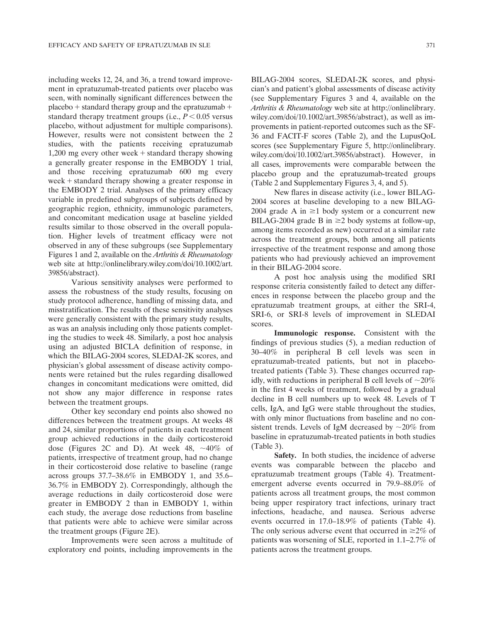including weeks 12, 24, and 36, a trend toward improvement in epratuzumab-treated patients over placebo was seen, with nominally significant differences between the placebo  $+$  standard therapy group and the epratuzumab  $+$ standard therapy treatment groups (i.e.,  $P < 0.05$  versus placebo, without adjustment for multiple comparisons). However, results were not consistent between the 2 studies, with the patients receiving epratuzumab 1,200 mg every other week  $+$  standard therapy showing a generally greater response in the EMBODY 1 trial, and those receiving epratuzumab 600 mg every week  $+$  standard therapy showing a greater response in the EMBODY 2 trial. Analyses of the primary efficacy variable in predefined subgroups of subjects defined by geographic region, ethnicity, immunologic parameters, and concomitant medication usage at baseline yielded results similar to those observed in the overall population. Higher levels of treatment efficacy were not observed in any of these subgroups (see Supplementary Figures 1 and 2, available on the Arthritis & Rheumatology web site at [http://onlinelibrary.wiley.com/doi/10.1002/art.](http://onlinelibrary.wiley.com/doi/10.1002/art.39856/abstract) [39856/abstract](http://onlinelibrary.wiley.com/doi/10.1002/art.39856/abstract)).

Various sensitivity analyses were performed to assess the robustness of the study results, focusing on study protocol adherence, handling of missing data, and misstratification. The results of these sensitivity analyses were generally consistent with the primary study results, as was an analysis including only those patients completing the studies to week 48. Similarly, a post hoc analysis using an adjusted BICLA definition of response, in which the BILAG-2004 scores, SLEDAI-2K scores, and physician's global assessment of disease activity components were retained but the rules regarding disallowed changes in concomitant medications were omitted, did not show any major difference in response rates between the treatment groups.

Other key secondary end points also showed no differences between the treatment groups. At weeks 48 and 24, similar proportions of patients in each treatment group achieved reductions in the daily corticosteroid dose (Figures 2C and D). At week 48,  $\sim$ 40% of patients, irrespective of treatment group, had no change in their corticosteroid dose relative to baseline (range across groups 37.7–38.6% in EMBODY 1, and 35.6– 36.7% in EMBODY 2). Correspondingly, although the average reductions in daily corticosteroid dose were greater in EMBODY 2 than in EMBODY 1, within each study, the average dose reductions from baseline that patients were able to achieve were similar across the treatment groups (Figure 2E).

Improvements were seen across a multitude of exploratory end points, including improvements in the BILAG-2004 scores, SLEDAI-2K scores, and physician's and patient's global assessments of disease activity (see Supplementary Figures 3 and 4, available on the Arthritis & Rheumatology web site at [http://onlinelibrary.](http://onlinelibrary.wiley.com/doi/10.1002/art.39856/abstract) [wiley.com/doi/10.1002/art.39856/abstract](http://onlinelibrary.wiley.com/doi/10.1002/art.39856/abstract)), as well as improvements in patient-reported outcomes such as the SF-36 and FACIT-F scores (Table 2), and the LupusQoL scores (see Supplementary Figure 5, [http://onlinelibrary.](http://onlinelibrary.wiley.com/doi/10.1002/art.39856/abstract) [wiley.com/doi/10.1002/art.39856/abstract](http://onlinelibrary.wiley.com/doi/10.1002/art.39856/abstract)). However, in all cases, improvements were comparable between the placebo group and the epratuzumab-treated groups (Table 2 and Supplementary Figures 3, 4, and 5).

New flares in disease activity (i.e., lower BILAG-2004 scores at baseline developing to a new BILAG-2004 grade A in  $\geq 1$  body system or a concurrent new BILAG-2004 grade B in  $\geq$ 2 body systems at follow-up, among items recorded as new) occurred at a similar rate across the treatment groups, both among all patients irrespective of the treatment response and among those patients who had previously achieved an improvement in their BILAG-2004 score.

A post hoc analysis using the modified SRI response criteria consistently failed to detect any differences in response between the placebo group and the epratuzumab treatment groups, at either the SRI-4, SRI-6, or SRI-8 levels of improvement in SLEDAI scores.

Immunologic response. Consistent with the findings of previous studies (5), a median reduction of 30–40% in peripheral B cell levels was seen in epratuzumab-treated patients, but not in placebotreated patients (Table 3). These changes occurred rapidly, with reductions in peripheral B cell levels of  $\sim 20\%$ in the first 4 weeks of treatment, followed by a gradual decline in B cell numbers up to week 48. Levels of T cells, IgA, and IgG were stable throughout the studies, with only minor fluctuations from baseline and no consistent trends. Levels of IgM decreased by  $\sim$ 20% from baseline in epratuzumab-treated patients in both studies (Table 3).

Safety. In both studies, the incidence of adverse events was comparable between the placebo and epratuzumab treatment groups (Table 4). Treatmentemergent adverse events occurred in 79.9–88.0% of patients across all treatment groups, the most common being upper respiratory tract infections, urinary tract infections, headache, and nausea. Serious adverse events occurred in 17.0–18.9% of patients (Table 4). The only serious adverse event that occurred in  $\geq 2\%$  of patients was worsening of SLE, reported in 1.1–2.7% of patients across the treatment groups.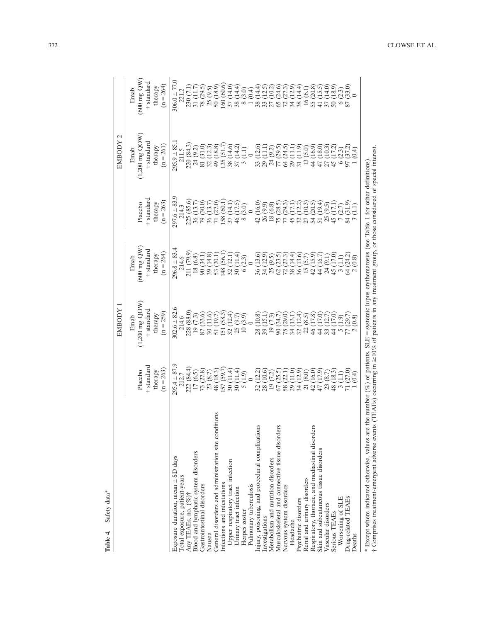| Safety data*<br>Table 4.                                                                                                                                                                                                                                                                                   |                           | EMBODY 1                         |                                   |                           | EMBODY 2                  |                           |
|------------------------------------------------------------------------------------------------------------------------------------------------------------------------------------------------------------------------------------------------------------------------------------------------------------|---------------------------|----------------------------------|-----------------------------------|---------------------------|---------------------------|---------------------------|
|                                                                                                                                                                                                                                                                                                            |                           |                                  |                                   |                           |                           |                           |
|                                                                                                                                                                                                                                                                                                            |                           | Emab                             | Emab                              |                           | Emab                      | Emab                      |
|                                                                                                                                                                                                                                                                                                            | Placebo                   | $(1,200 \text{ mg } \text{QOW})$ | (600 mg QW)                       | Placebo                   | $(1,200$ mg $QOW$         | $(600 \text{ mg QW})$     |
|                                                                                                                                                                                                                                                                                                            | + standard                | + standard                       | + standard                        | + standard                | + standard                | + standard                |
|                                                                                                                                                                                                                                                                                                            | therapy                   | therapy                          | therapy                           | therapy                   | therapy                   | therapy                   |
|                                                                                                                                                                                                                                                                                                            | $(n = 263)$               | $(n = 259)$                      | $(n = 264)$                       | $(n = 263)$               | $(n = 261)$               | $(n = 264)$               |
| Exposure duration, mean $\pm$ SD days                                                                                                                                                                                                                                                                      | $295.4 \pm 87.9$          | $302.6 \pm 82.6$                 | $296.8 \pm 83.4$                  | $297.6 \pm 83.9$          | $295.9 \pm 85.1$          | $306.0 \pm 77.0$          |
| Total exposure, patient-years                                                                                                                                                                                                                                                                              | 212.7                     | 214.6                            | 214.6                             | 214.3                     | 211.5                     | 221.2                     |
| Any TEAEs, no. (%)†                                                                                                                                                                                                                                                                                        | 222 (84.4)                | 228 (88.0)                       | 211 (79.9)                        | 225 (85.6)                | 220 (84.3)                | 230 (7.1                  |
| Blood and lymphatic system disorders                                                                                                                                                                                                                                                                       | 17(6.5)                   | (7.3)<br>19 <sub>1</sub>         | (6.8)<br>$\frac{18}{1}$           | 36 (13.7)                 | 24 (9.2)                  | 31 (11.7                  |
| Gastrointestinal disorders                                                                                                                                                                                                                                                                                 | 73 (27.8)                 | (33.6)<br>87 <sub>1</sub>        | 90 (34.1                          | 79 (30.0)                 | 81 (31.0                  | 78 (29.5)                 |
| Nausea                                                                                                                                                                                                                                                                                                     | (8.7)<br>23               | (11.6)                           | (14.8)<br>39 <sub>0</sub>         | 36 (13.7                  | (12.3)                    | 25(9.5)                   |
| S<br>General disorders and administration site condition                                                                                                                                                                                                                                                   | (18.3)<br>$\frac{48}{ }$  | (19.7)                           | 53 (20.1                          | 71 (27.0                  | 49 (18.8)                 | 50 (18.9)                 |
| Infections and infestations                                                                                                                                                                                                                                                                                | (59.7)<br>57 <sub>1</sub> | (58.3)<br>151                    | (56.1<br>148                      | 158 (60.1                 | 135(51.7)                 | 160 (60.6                 |
| Upper respiratory tract infection                                                                                                                                                                                                                                                                          | (11.4)<br>$\overline{30}$ | (12.4)<br>32 <sub>1</sub>        | 12.1<br>$\overline{32}$           | 37 (14.1)                 | (14.6)                    | (14.0                     |
| Urinary tract infection                                                                                                                                                                                                                                                                                    | (1.4)                     | (9.7)<br>25                      | (1.4)                             | (17.5)<br>46 <sub>1</sub> | 14.2                      | 14.4                      |
| Herpes zoster                                                                                                                                                                                                                                                                                              | (6.1)                     | (3.9)<br>$\supseteq$             | (2.3)<br>$\overline{6}$           | (3.0)                     | Ξ                         | (3.0)                     |
| Pulmonary tuberculosis                                                                                                                                                                                                                                                                                     |                           |                                  |                                   |                           |                           | $\overline{0.4}$          |
| Injury, poisoning, and procedural complications                                                                                                                                                                                                                                                            | $(12.2)$<br>$(10.6)$      | (10.8)<br>$\frac{8}{2}$          | 13.6<br>36                        | (16.0)<br>$\frac{1}{4}$   | 12.6<br>33                | 14.4                      |
| Investigations                                                                                                                                                                                                                                                                                             |                           | 15.1<br>39                       | (12.9)<br>$\overline{34}$         | 26 (9.9)                  | Ξ<br>$\overline{29}$      | 12.5                      |
| Metabolism and nutrition disorders                                                                                                                                                                                                                                                                         | (7.2)<br>$\overline{19}$  | (7.3)<br>$\overline{19}$         | (9.5)<br>25                       | 18(6.8)                   | (9.2)                     | ลิว<br>อีฐีอี             |
| Musculoskeletal and connective tissue disorders                                                                                                                                                                                                                                                            | (25.5)                    | 34.7<br>$\overline{90}$          | 23.5°<br>27.3°<br>62 <sub>1</sub> | 28.5<br>75                | (29.5)                    | 65                        |
| Nervous system disorders                                                                                                                                                                                                                                                                                   | 58                        | (29.0)<br>75                     | $\overline{z}$                    | 29.3                      | 24.5<br>$\mathcal{L}$     |                           |
| Headache                                                                                                                                                                                                                                                                                                   | (11.0)<br>29 <sub>1</sub> | (13.1)<br>34                     | (14.4)<br>38 <sub>1</sub>         | 17.1<br>45 <sub>1</sub>   | Ξ<br>$\overline{29}$      | (12.9)<br>34              |
| Psychiatric disorders                                                                                                                                                                                                                                                                                      | (12.9)<br>34 <sub>1</sub> | (12.4)<br>32 <sub>1</sub>        | (13.6)<br>36 <sub>1</sub>         | (12.2)<br>$\frac{32}{27}$ | (11.9)<br>31(             | (14.4)<br>38 <sub>1</sub> |
| Renal and urinary disorders                                                                                                                                                                                                                                                                                | (8.0)<br>$\overline{21}$  | (8.5)<br>$\mathcal{Z}$           | 15(5.7)                           | (10.3)                    | 13(5.0)                   | 16(6.1)                   |
| Respiratory, thoracic, and mediastinal disorders                                                                                                                                                                                                                                                           | (16.0)<br>$\frac{1}{4}$   | (17.8)<br>46 <sub>1</sub>        | 42 (15.9)                         | (20.5)<br>54(             | (16.9)<br>44 <sup>1</sup> | (20.8)<br>55 <sub>1</sub> |
| Skin and subcutaneous tissue disorders                                                                                                                                                                                                                                                                     | (17.9)                    | (17.0)<br>$\frac{4}{4}$          | 44 (16.7                          | 51 (19.4                  | (18.0)<br>47              | (15.5)<br>$\overline{41}$ |
| Vascular disorders                                                                                                                                                                                                                                                                                         | (8.7)                     | (12.7)<br>33                     | 24 (9.1)                          | 25(9.5)                   | (10.3)                    | $(14.0)$<br>$(18.9)$      |
| Serious TEAEs                                                                                                                                                                                                                                                                                              | (18.3)<br>$\frac{8}{48}$  | (17.0)<br>$\frac{4}{3}$          | 45 (17.0                          | (17.1)<br>45(             | (17.2<br>45 <sub>1</sub>  | 50 <sub>1</sub>           |
| Worsening of SLE                                                                                                                                                                                                                                                                                           | $\frac{(1.1)}{(27.0)}$    | (1.9)<br>$\frac{5}{1}$           | 3(1.1)                            | (2.7)<br>$\tilde{z}$      | (2.3)                     | (2.3)                     |
| Drug-related TEAEs                                                                                                                                                                                                                                                                                         |                           | (29.7)                           | 64 (24.2)                         | (31.9)<br>84(             | (37.2)                    | (33.0)<br>87              |
| Deaths                                                                                                                                                                                                                                                                                                     | $(+)$                     | (8.0)                            | (0.8)                             |                           |                           |                           |
| † Comprises treatment-emergent adverse events (TEAEs) occurring in ≥10% of patients in any treatment group, or those considered of special interest.<br>* Except where indicated otherwise, values are the number (%) of patients. SLE = systemic lupus erythematosus (see Table 1 for other definitions). |                           |                                  |                                   |                           |                           |                           |

Table 4. Safety data\* Table 4. Safety data\*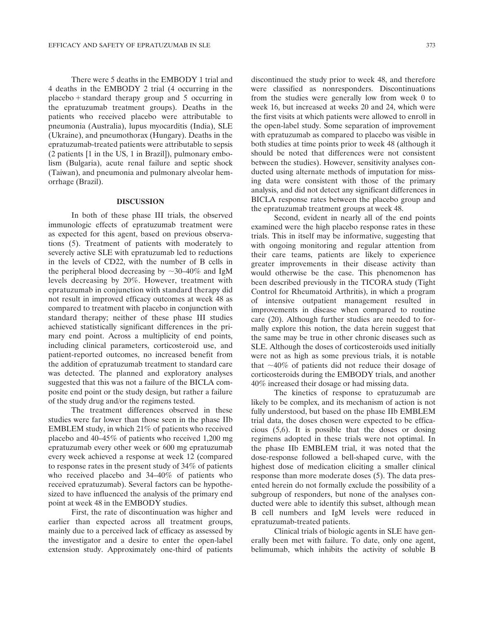There were 5 deaths in the EMBODY 1 trial and 4 deaths in the EMBODY 2 trial (4 occurring in the  $placebo + standard$  therapy group and 5 occurring in the epratuzumab treatment groups). Deaths in the patients who received placebo were attributable to pneumonia (Australia), lupus myocarditis (India), SLE (Ukraine), and pneumothorax (Hungary). Deaths in the epratuzumab-treated patients were attributable to sepsis (2 patients [1 in the US, 1 in Brazil]), pulmonary embolism (Bulgaria), acute renal failure and septic shock (Taiwan), and pneumonia and pulmonary alveolar hemorrhage (Brazil).

#### DISCUSSION

In both of these phase III trials, the observed immunologic effects of epratuzumab treatment were as expected for this agent, based on previous observations (5). Treatment of patients with moderately to severely active SLE with epratuzumab led to reductions in the levels of CD22, with the number of B cells in the peripheral blood decreasing by  $\sim$ 30–40% and IgM levels decreasing by 20%. However, treatment with epratuzumab in conjunction with standard therapy did not result in improved efficacy outcomes at week 48 as compared to treatment with placebo in conjunction with standard therapy; neither of these phase III studies achieved statistically significant differences in the primary end point. Across a multiplicity of end points, including clinical parameters, corticosteroid use, and patient-reported outcomes, no increased benefit from the addition of epratuzumab treatment to standard care was detected. The planned and exploratory analyses suggested that this was not a failure of the BICLA composite end point or the study design, but rather a failure of the study drug and/or the regimens tested.

The treatment differences observed in these studies were far lower than those seen in the phase IIb EMBLEM study, in which 21% of patients who received placebo and 40–45% of patients who received 1,200 mg epratuzumab every other week or 600 mg epratuzumab every week achieved a response at week 12 (compared to response rates in the present study of 34% of patients who received placebo and 34–40% of patients who received epratuzumab). Several factors can be hypothesized to have influenced the analysis of the primary end point at week 48 in the EMBODY studies.

First, the rate of discontinuation was higher and earlier than expected across all treatment groups, mainly due to a perceived lack of efficacy as assessed by the investigator and a desire to enter the open-label extension study. Approximately one-third of patients

discontinued the study prior to week 48, and therefore were classified as nonresponders. Discontinuations from the studies were generally low from week 0 to week 16, but increased at weeks 20 and 24, which were the first visits at which patients were allowed to enroll in the open-label study. Some separation of improvement with epratuzumab as compared to placebo was visible in both studies at time points prior to week 48 (although it should be noted that differences were not consistent between the studies). However, sensitivity analyses conducted using alternate methods of imputation for missing data were consistent with those of the primary analysis, and did not detect any significant differences in BICLA response rates between the placebo group and the epratuzumab treatment groups at week 48.

Second, evident in nearly all of the end points examined were the high placebo response rates in these trials. This in itself may be informative, suggesting that with ongoing monitoring and regular attention from their care teams, patients are likely to experience greater improvements in their disease activity than would otherwise be the case. This phenomenon has been described previously in the TICORA study (Tight Control for Rheumatoid Arthritis), in which a program of intensive outpatient management resulted in improvements in disease when compared to routine care (20). Although further studies are needed to formally explore this notion, the data herein suggest that the same may be true in other chronic diseases such as SLE. Although the doses of corticosteroids used initially were not as high as some previous trials, it is notable that  $\sim$ 40% of patients did not reduce their dosage of corticosteroids during the EMBODY trials, and another 40% increased their dosage or had missing data.

The kinetics of response to epratuzumab are likely to be complex, and its mechanism of action is not fully understood, but based on the phase IIb EMBLEM trial data, the doses chosen were expected to be efficacious (5,6). It is possible that the doses or dosing regimens adopted in these trials were not optimal. In the phase IIb EMBLEM trial, it was noted that the dose-response followed a bell-shaped curve, with the highest dose of medication eliciting a smaller clinical response than more moderate doses (5). The data presented herein do not formally exclude the possibility of a subgroup of responders, but none of the analyses conducted were able to identify this subset, although mean B cell numbers and IgM levels were reduced in epratuzumab-treated patients.

Clinical trials of biologic agents in SLE have generally been met with failure. To date, only one agent, belimumab, which inhibits the activity of soluble B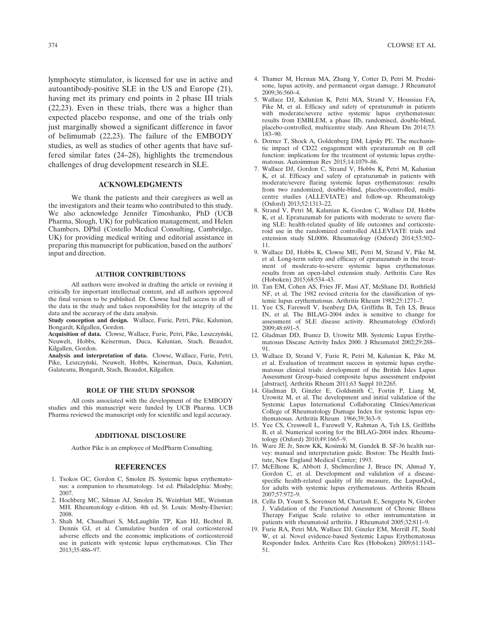lymphocyte stimulator, is licensed for use in active and autoantibody-positive SLE in the US and Europe (21), having met its primary end points in 2 phase III trials (22,23). Even in these trials, there was a higher than expected placebo response, and one of the trials only just marginally showed a significant difference in favor of belimumab (22,23). The failure of the EMBODY studies, as well as studies of other agents that have suffered similar fates (24–28), highlights the tremendous challenges of drug development research in SLE.

### ACKNOWLEDGMENTS

We thank the patients and their caregivers as well as the investigators and their teams who contributed to this study. We also acknowledge Jennifer Timoshanko, PhD (UCB Pharma, Slough, UK) for publication management, and Helen Chambers, DPhil (Costello Medical Consulting, Cambridge, UK) for providing medical writing and editorial assistance in preparing this manuscript for publication, based on the authors' input and direction.

#### AUTHOR CONTRIBUTIONS

All authors were involved in drafting the article or revising it critically for important intellectual content, and all authors approved the final version to be published. Dr. Clowse had full access to all of the data in the study and takes responsibility for the integrity of the data and the accuracy of the data analysis.

Study conception and design. Wallace, Furie, Petri, Pike, Kalunian, Bongardt, Kilgallen, Gordon.

Acquisition of data. Clowse, Wallace, Furie, Petri, Pike, Leszczyński, Neuwelt, Hobbs, Keiserman, Duca, Kalunian, Stach, Beaudot, Kilgallen, Gordon.

Analysis and interpretation of data. Clowse, Wallace, Furie, Petri, Pike, Leszczyński, Neuwelt, Hobbs, Keiserman, Duca, Kalunian, Galateanu, Bongardt, Stach, Beaudot, Kilgallen.

#### ROLE OF THE STUDY SPONSOR

All costs associated with the development of the EMBODY studies and this manuscript were funded by UCB Pharma. UCB Pharma reviewed the manuscript only for scientific and legal accuracy.

#### ADDITIONAL DISCLOSURE

Author Pike is an employee of MedPharm Consulting.

#### **REFERENCES**

- 1. Tsokos GC, Gordon C, Smolen JS. Systemic lupus erythematosus: a companion to rheumatology. 1st ed. Philadelphia: Mosby; 2007.
- 2. Hochberg MC, Silman AJ, Smolen JS, Weinblatt ME, Weisman MH. Rheumatology e-dition. 4th ed. St. Louis: Mosby-Elsevier; 2008.
- 3. Shah M, Chaudhari S, McLaughlin TP, Kan HJ, Bechtel B, Dennis GJ, et al. Cumulative burden of oral corticosteroid adverse effects and the economic implications of corticosteroid use in patients with systemic lupus erythematosus. Clin Ther 2013;35:486–97.
- 4. Thamer M, Hernan MA, Zhang Y, Cotter D, Petri M. Prednisone, lupus activity, and permanent organ damage. J Rheumatol 2009;36:560–4.
- 5. Wallace DJ, Kalunian K, Petri MA, Strand V, Houssiau FA, Pike M, et al. Efficacy and safety of epratuzumab in patients with moderate/severe active systemic lupus erythematosus: results from EMBLEM, a phase IIb, randomised, double-blind, placebo-controlled, multicentre study. Ann Rheum Dis 2014;73: 183–90.
- 6. Dorner T, Shock A, Goldenberg DM, Lipsky PE. The mechanistic impact of CD22 engagement with epratuzumab on B cell function: implications for the treatment of systemic lupus erythematosus. Autoimmun Rev 2015;14:1079–86.
- 7. Wallace DJ, Gordon C, Strand V, Hobbs K, Petri M, Kalunian K, et al. Efficacy and safety of epratuzumab in patients with moderate/severe flaring systemic lupus erythematosus: results from two randomized, double-blind, placebo-controlled, multicentre studies (ALLEVIATE) and follow-up. Rheumatology (Oxford) 2013;52:1313–22.
- 8. Strand V, Petri M, Kalunian K, Gordon C, Wallace DJ, Hobbs K, et al. Epratuzumab for patients with moderate to severe flaring SLE: health-related quality of life outcomes and corticosteroid use in the randomized controlled ALLEVIATE trials and extension study SL0006. Rheumatology (Oxford) 2014;53:502– 11.
- 9. Wallace DJ, Hobbs K, Clowse ME, Petri M, Strand V, Pike M, et al. Long-term safety and efficacy of epratuzumab in the treatment of moderate-to-severe systemic lupus erythematosus: results from an open-label extension study. Arthritis Care Res (Hoboken) 2015;68:534–43.
- 10. Tan EM, Cohen AS, Fries JF, Masi AT, McShane DJ, Rothfield NF, et al. The 1982 revised criteria for the classification of systemic lupus erythematosus. Arthritis Rheum 1982;25:1271–7.
- 11. Yee CS, Farewell V, Isenberg DA, Griffiths B, Teh LS, Bruce IN, et al. The BILAG-2004 index is sensitive to change for assessment of SLE disease activity. Rheumatology (Oxford) 2009;48:691–5.
- 12. Gladman DD, Ibanez D, Urowitz MB. Systemic Lupus Erythematosus Disease Activity Index 2000. J Rheumatol 2002;29:288– 91.
- 13. Wallace D, Strand V, Furie R, Petri M, Kalunian K, Pike M, et al. Evaluation of treatment success in systemic lupus erythematosus clinical trials: development of the British Isles Lupus Assessment Group–based composite lupus assessment endpoint [abstract]. Arthritis Rheum 2011;63 Suppl 10:2265.
- 14. Gladman D, Ginzler E, Goldsmith C, Fortin P, Liang M, Urowitz M, et al. The development and initial validation of the Systemic Lupus International Collaborating Clinics/American College of Rheumatology Damage Index for systemic lupus erythematosus. Arthritis Rheum 1966;39:363–9.
- 15. Yee CS, Cresswell L, Farewell V, Rahman A, Teh LS, Griffiths B, et al. Numerical scoring for the BILAG-2004 index. Rheumatology (Oxford) 2010;49:1665–9.
- 16. Ware JE Jr, Snow KK, Kosinski M, Gandek B. SF-36 health survey: manual and interpretation guide. Boston: The Health Institute, New England Medical Center; 1993.
- 17. McElhone K, Abbott J, Shelmerdine J, Bruce IN, Ahmad Y, Gordon C, et al. Development and validation of a diseasespecific health-related quality of life measure, the LupusQoL, for adults with systemic lupus erythematosus. Arthritis Rheum 2007;57:972–9.
- 18. Cella D, Yount S, Sorensen M, Chartash E, Sengupta N, Grober J. Validation of the Functional Assessment of Chronic Illness Therapy Fatigue Scale relative to other instrumentation in patients with rheumatoid arthritis. J Rheumatol 2005;32:811–9.
- 19. Furie RA, Petri MA, Wallace DJ, Ginzler EM, Merrill JT, Stohl W, et al. Novel evidence-based Systemic Lupus Erythematosus Responder Index. Arthritis Care Res (Hoboken) 2009;61:1143– 51.